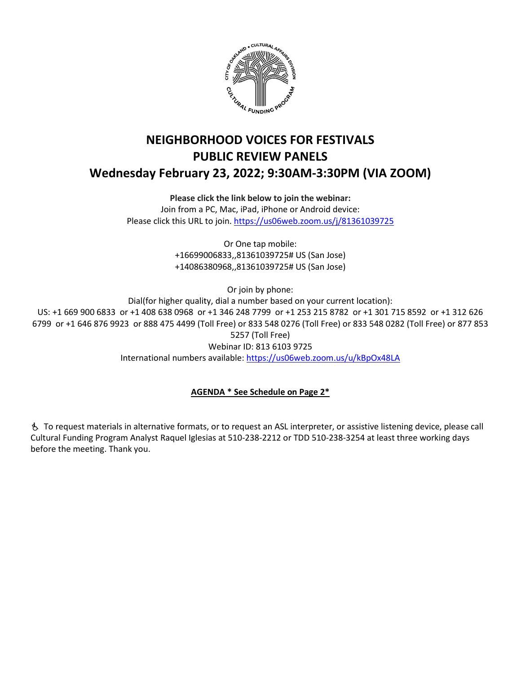

# **NEIGHBORHOOD VOICES FOR FESTIVALS PUBLIC REVIEW PANELS Wednesday February 23, 2022; 9:30AM-3:30PM (VIA ZOOM)**

**Please click the link below to join the webinar:**

Join from a PC, Mac, iPad, iPhone or Android device: Please click this URL to join.<https://us06web.zoom.us/j/81361039725>

> Or One tap mobile: +16699006833,,81361039725# US (San Jose) +14086380968,,81361039725# US (San Jose)

> > Or join by phone:

Dial(for higher quality, dial a number based on your current location): US: +1 669 900 6833 or +1 408 638 0968 or +1 346 248 7799 or +1 253 215 8782 or +1 301 715 8592 or +1 312 626 6799 or +1 646 876 9923 or 888 475 4499 (Toll Free) or 833 548 0276 (Toll Free) or 833 548 0282 (Toll Free) or 877 853 5257 (Toll Free) Webinar ID: 813 6103 9725 International numbers available[: https://us06web.zoom.us/u/kBpOx48LA](https://us06web.zoom.us/u/kBpOx48LA)

## **AGENDA \* See Schedule on Page 2\***

 To request materials in alternative formats, or to request an ASL interpreter, or assistive listening device, please call Cultural Funding Program Analyst Raquel Iglesias at 510-238-2212 or TDD 510-238-3254 at least three working days before the meeting. Thank you.